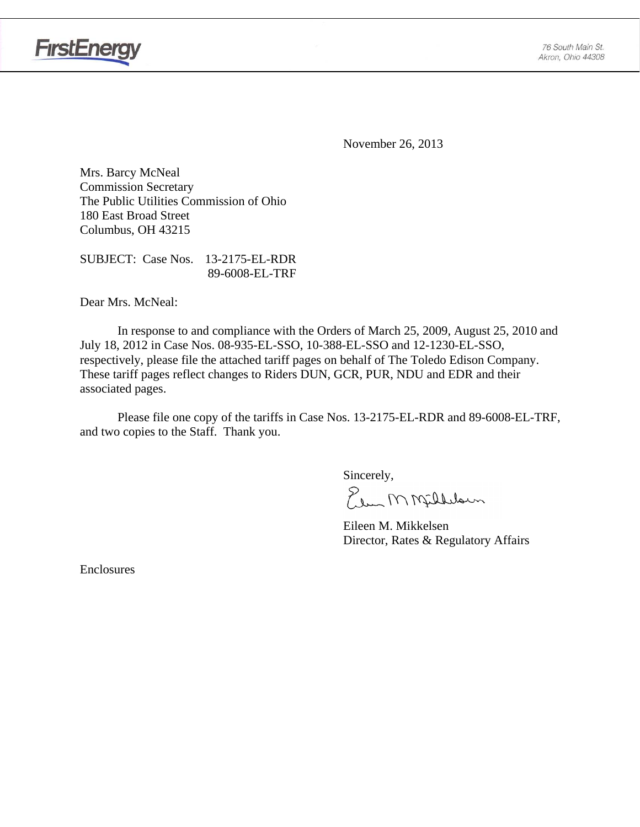

**FirstEnergy** 

November 26, 2013

Mrs. Barcy McNeal Commission Secretary The Public Utilities Commission of Ohio 180 East Broad Street Columbus, OH 43215

SUBJECT: Case Nos. 13-2175-EL-RDR 89-6008-EL-TRF

Dear Mrs. McNeal:

 In response to and compliance with the Orders of March 25, 2009, August 25, 2010 and July 18, 2012 in Case Nos. 08-935-EL-SSO, 10-388-EL-SSO and 12-1230-EL-SSO, respectively, please file the attached tariff pages on behalf of The Toledo Edison Company. These tariff pages reflect changes to Riders DUN, GCR, PUR, NDU and EDR and their associated pages.

Please file one copy of the tariffs in Case Nos. 13-2175-EL-RDR and 89-6008-EL-TRF, and two copies to the Staff. Thank you.

Sincerely,

Elem M Milleloun

 Eileen M. Mikkelsen Director, Rates & Regulatory Affairs

Enclosures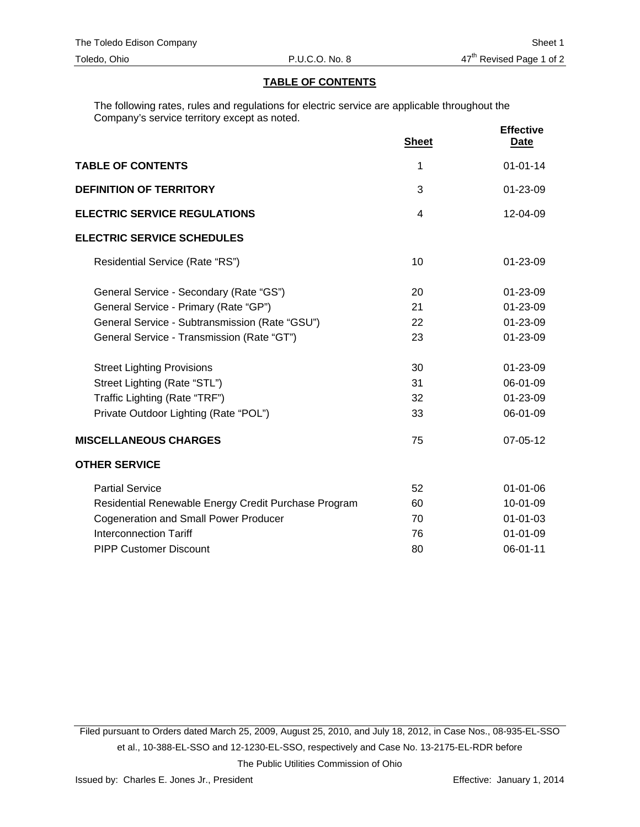# **TABLE OF CONTENTS**

The following rates, rules and regulations for electric service are applicable throughout the Company's service territory except as noted.

|                                                      | <b>Sheet</b> | <b>Effective</b><br><u>Date</u> |
|------------------------------------------------------|--------------|---------------------------------|
| <b>TABLE OF CONTENTS</b>                             | 1            | $01 - 01 - 14$                  |
| <b>DEFINITION OF TERRITORY</b>                       | 3            | 01-23-09                        |
| <b>ELECTRIC SERVICE REGULATIONS</b>                  | 4            | $12 - 04 - 09$                  |
| <b>ELECTRIC SERVICE SCHEDULES</b>                    |              |                                 |
| Residential Service (Rate "RS")                      | 10           | $01 - 23 - 09$                  |
| General Service - Secondary (Rate "GS")              | 20           | 01-23-09                        |
| General Service - Primary (Rate "GP")                | 21           | 01-23-09                        |
| General Service - Subtransmission (Rate "GSU")       | 22           | 01-23-09                        |
| General Service - Transmission (Rate "GT")           | 23           | 01-23-09                        |
| <b>Street Lighting Provisions</b>                    | 30           | 01-23-09                        |
| Street Lighting (Rate "STL")                         | 31           | 06-01-09                        |
| Traffic Lighting (Rate "TRF")                        | 32           | 01-23-09                        |
| Private Outdoor Lighting (Rate "POL")                | 33           | 06-01-09                        |
| <b>MISCELLANEOUS CHARGES</b>                         | 75           | 07-05-12                        |
| <b>OTHER SERVICE</b>                                 |              |                                 |
| <b>Partial Service</b>                               | 52           | $01 - 01 - 06$                  |
| Residential Renewable Energy Credit Purchase Program | 60           | 10-01-09                        |
| <b>Cogeneration and Small Power Producer</b>         | 70           | $01 - 01 - 03$                  |
| <b>Interconnection Tariff</b>                        | 76           | $01 - 01 - 09$                  |
| <b>PIPP Customer Discount</b>                        | 80           | 06-01-11                        |

Filed pursuant to Orders dated March 25, 2009, August 25, 2010, and July 18, 2012, in Case Nos., 08-935-EL-SSO et al., 10-388-EL-SSO and 12-1230-EL-SSO, respectively and Case No. 13-2175-EL-RDR before The Public Utilities Commission of Ohio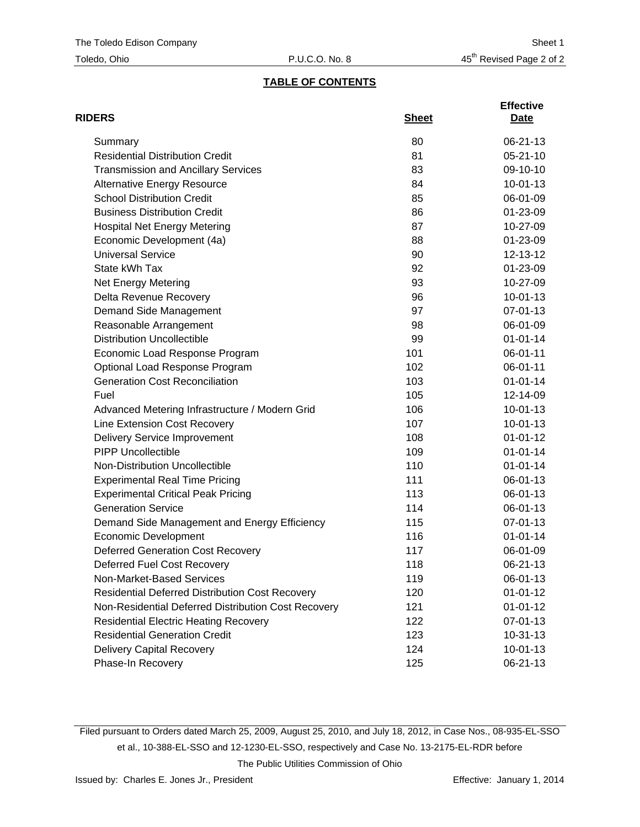# **TABLE OF CONTENTS**

| <b>RIDERS</b>                                          | <b>Sheet</b> | <b>Effective</b><br>Date |
|--------------------------------------------------------|--------------|--------------------------|
| Summary                                                | 80           | 06-21-13                 |
| <b>Residential Distribution Credit</b>                 | 81           | $05 - 21 - 10$           |
| <b>Transmission and Ancillary Services</b>             | 83           | 09-10-10                 |
| <b>Alternative Energy Resource</b>                     | 84           | $10 - 01 - 13$           |
| <b>School Distribution Credit</b>                      | 85           | 06-01-09                 |
| <b>Business Distribution Credit</b>                    | 86           | 01-23-09                 |
| <b>Hospital Net Energy Metering</b>                    | 87           | 10-27-09                 |
| Economic Development (4a)                              | 88           | 01-23-09                 |
| <b>Universal Service</b>                               | 90           | 12-13-12                 |
| State kWh Tax                                          | 92           | 01-23-09                 |
| <b>Net Energy Metering</b>                             | 93           | 10-27-09                 |
| Delta Revenue Recovery                                 | 96           | $10 - 01 - 13$           |
| Demand Side Management                                 | 97           | 07-01-13                 |
| Reasonable Arrangement                                 | 98           | 06-01-09                 |
| <b>Distribution Uncollectible</b>                      | 99           | $01 - 01 - 14$           |
| Economic Load Response Program                         | 101          | 06-01-11                 |
| Optional Load Response Program                         | 102          | 06-01-11                 |
| <b>Generation Cost Reconciliation</b>                  | 103          | $01 - 01 - 14$           |
| Fuel                                                   | 105          | 12-14-09                 |
| Advanced Metering Infrastructure / Modern Grid         | 106          | $10-01-13$               |
| Line Extension Cost Recovery                           | 107          | $10 - 01 - 13$           |
| <b>Delivery Service Improvement</b>                    | 108          | $01 - 01 - 12$           |
| <b>PIPP Uncollectible</b>                              | 109          | $01 - 01 - 14$           |
| Non-Distribution Uncollectible                         | 110          | $01 - 01 - 14$           |
| <b>Experimental Real Time Pricing</b>                  | 111          | 06-01-13                 |
| <b>Experimental Critical Peak Pricing</b>              | 113          | 06-01-13                 |
| <b>Generation Service</b>                              | 114          | 06-01-13                 |
| Demand Side Management and Energy Efficiency           | 115          | 07-01-13                 |
| <b>Economic Development</b>                            | 116          | $01 - 01 - 14$           |
| <b>Deferred Generation Cost Recovery</b>               | 117          | 06-01-09                 |
| Deferred Fuel Cost Recovery                            | 118          | 06-21-13                 |
| Non-Market-Based Services                              | 119          | 06-01-13                 |
| <b>Residential Deferred Distribution Cost Recovery</b> | 120          | $01 - 01 - 12$           |
| Non-Residential Deferred Distribution Cost Recovery    | 121          | $01 - 01 - 12$           |
| <b>Residential Electric Heating Recovery</b>           | 122          | 07-01-13                 |
| <b>Residential Generation Credit</b>                   | 123          | $10-31-13$               |
| Delivery Capital Recovery                              | 124          | $10 - 01 - 13$           |
| Phase-In Recovery                                      | 125          | 06-21-13                 |

Filed pursuant to Orders dated March 25, 2009, August 25, 2010, and July 18, 2012, in Case Nos., 08-935-EL-SSO et al., 10-388-EL-SSO and 12-1230-EL-SSO, respectively and Case No. 13-2175-EL-RDR before The Public Utilities Commission of Ohio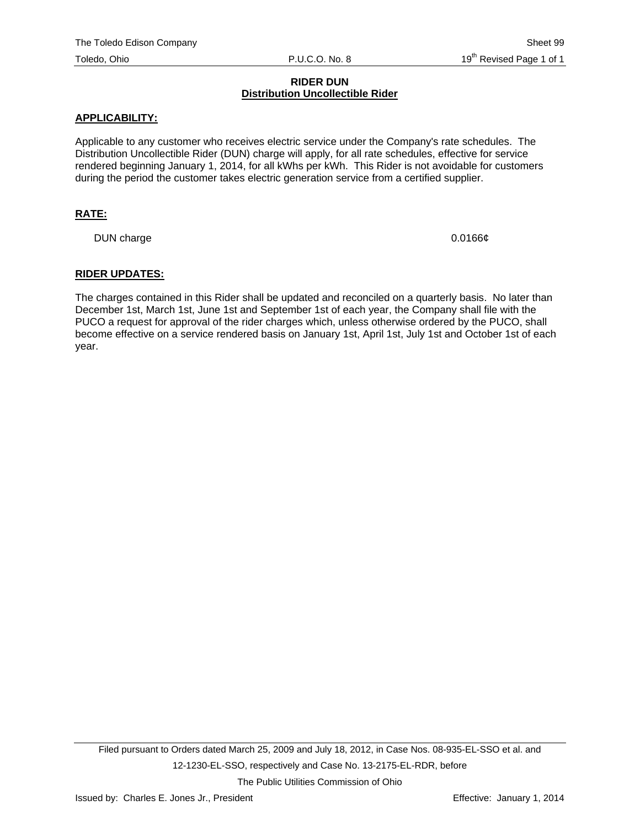#### **RIDER DUN Distribution Uncollectible Rider**

#### **APPLICABILITY:**

Applicable to any customer who receives electric service under the Company's rate schedules. The Distribution Uncollectible Rider (DUN) charge will apply, for all rate schedules, effective for service rendered beginning January 1, 2014, for all kWhs per kWh. This Rider is not avoidable for customers during the period the customer takes electric generation service from a certified supplier.

# **RATE:**

DUN charge 0.0166¢

#### **RIDER UPDATES:**

The charges contained in this Rider shall be updated and reconciled on a quarterly basis. No later than December 1st, March 1st, June 1st and September 1st of each year, the Company shall file with the PUCO a request for approval of the rider charges which, unless otherwise ordered by the PUCO, shall become effective on a service rendered basis on January 1st, April 1st, July 1st and October 1st of each year.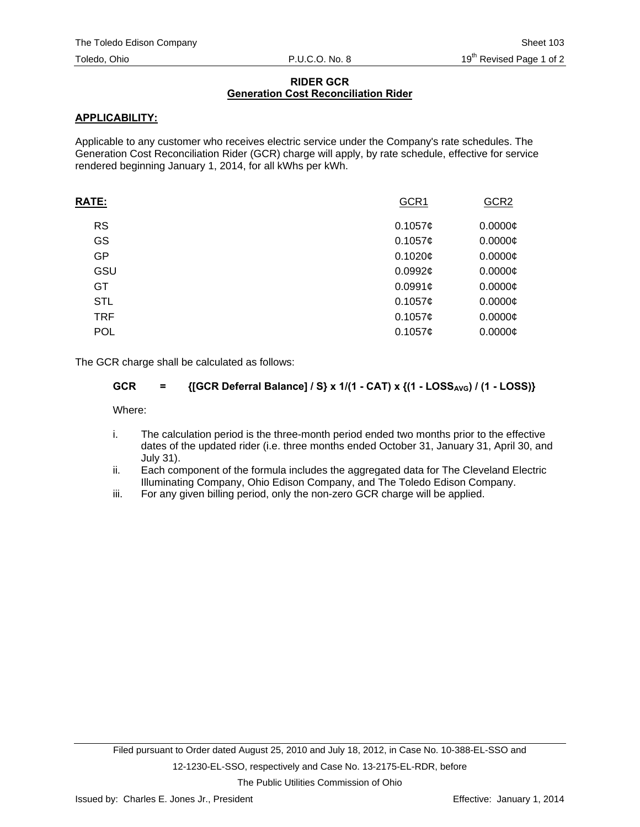## **RIDER GCR Generation Cost Reconciliation Rider**

# **APPLICABILITY:**

Applicable to any customer who receives electric service under the Company's rate schedules. The Generation Cost Reconciliation Rider (GCR) charge will apply, by rate schedule, effective for service rendered beginning January 1, 2014, for all kWhs per kWh.

| <b>RATE:</b> | GCR1    | GCR <sub>2</sub> |
|--------------|---------|------------------|
| <b>RS</b>    | 0.1057c | $0.0000$ ¢       |
| GS           | 0.1057¢ | $0.0000$ ¢       |
| GP           | 0.1020¢ | $0.0000$ ¢       |
| GSU          | 0.0992c | $0.0000$ ¢       |
| GT           | 0.0991c | $0.0000$ ¢       |
| <b>STL</b>   | 0.1057c | $0.0000$ ¢       |
| <b>TRF</b>   | 0.1057c | $0.0000$ ¢       |
| <b>POL</b>   | 0.1057c | $0.0000$ ¢       |
|              |         |                  |

The GCR charge shall be calculated as follows:

# **GCR** =  $\{[GCR\ \nexists Balance] / S\} \times 1/(1 - CAT) \times (1 - LOSS_{AVG}) / (1 - LOSS)\}$

Where:

- i. The calculation period is the three-month period ended two months prior to the effective dates of the updated rider (i.e. three months ended October 31, January 31, April 30, and July 31).
- ii. Each component of the formula includes the aggregated data for The Cleveland Electric Illuminating Company, Ohio Edison Company, and The Toledo Edison Company.
- iii. For any given billing period, only the non-zero GCR charge will be applied.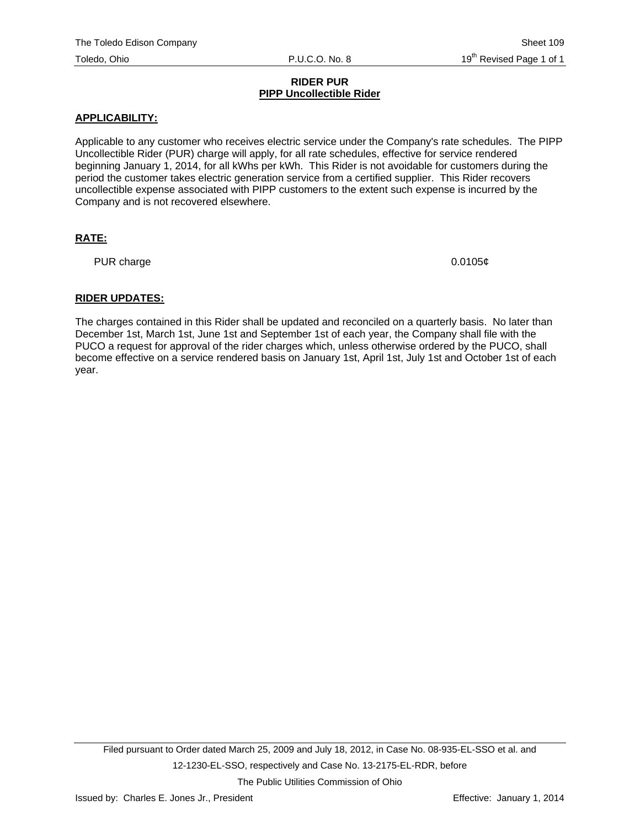#### **RIDER PUR PIPP Uncollectible Rider**

# **APPLICABILITY:**

Applicable to any customer who receives electric service under the Company's rate schedules. The PIPP Uncollectible Rider (PUR) charge will apply, for all rate schedules, effective for service rendered beginning January 1, 2014, for all kWhs per kWh. This Rider is not avoidable for customers during the period the customer takes electric generation service from a certified supplier. This Rider recovers uncollectible expense associated with PIPP customers to the extent such expense is incurred by the Company and is not recovered elsewhere.

# **RATE:**

PUR charge  $0.0105¢$ 

# **RIDER UPDATES:**

The charges contained in this Rider shall be updated and reconciled on a quarterly basis. No later than December 1st, March 1st, June 1st and September 1st of each year, the Company shall file with the PUCO a request for approval of the rider charges which, unless otherwise ordered by the PUCO, shall become effective on a service rendered basis on January 1st, April 1st, July 1st and October 1st of each year.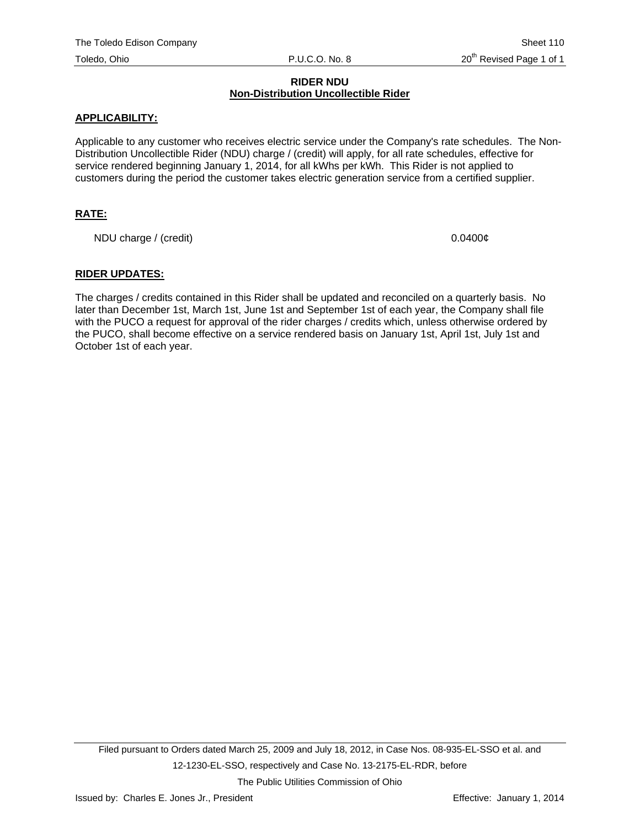#### **RIDER NDU Non-Distribution Uncollectible Rider**

## **APPLICABILITY:**

Applicable to any customer who receives electric service under the Company's rate schedules. The Non-Distribution Uncollectible Rider (NDU) charge / (credit) will apply, for all rate schedules, effective for service rendered beginning January 1, 2014, for all kWhs per kWh. This Rider is not applied to customers during the period the customer takes electric generation service from a certified supplier.

# **RATE:**

NDU charge / (credit) 0.0400¢

#### **RIDER UPDATES:**

The charges / credits contained in this Rider shall be updated and reconciled on a quarterly basis. No later than December 1st, March 1st, June 1st and September 1st of each year, the Company shall file with the PUCO a request for approval of the rider charges / credits which, unless otherwise ordered by the PUCO, shall become effective on a service rendered basis on January 1st, April 1st, July 1st and October 1st of each year.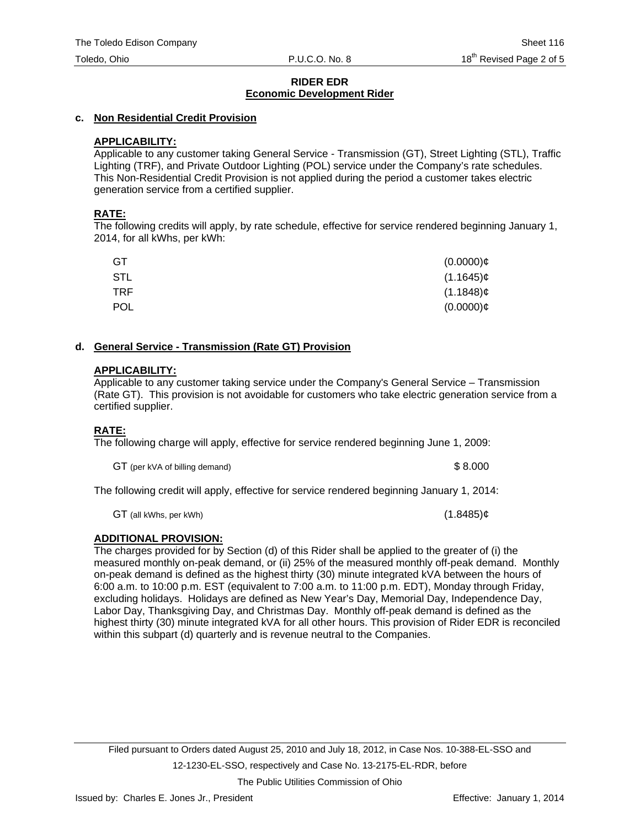## **c. Non Residential Credit Provision**

# **APPLICABILITY:**

Applicable to any customer taking General Service - Transmission (GT), Street Lighting (STL), Traffic Lighting (TRF), and Private Outdoor Lighting (POL) service under the Company's rate schedules. This Non-Residential Credit Provision is not applied during the period a customer takes electric generation service from a certified supplier.

#### **RATE:**

The following credits will apply, by rate schedule, effective for service rendered beginning January 1, 2014, for all kWhs, per kWh:

| GT         | $(0.0000)$ ¢ |
|------------|--------------|
| STL        | $(1.1645)$ ¢ |
| TRF        | $(1.1848)$ ¢ |
| <b>POL</b> | $(0.0000)$ ¢ |

#### **d. General Service - Transmission (Rate GT) Provision**

#### **APPLICABILITY:**

Applicable to any customer taking service under the Company's General Service – Transmission (Rate GT). This provision is not avoidable for customers who take electric generation service from a certified supplier.

# **RATE:**

The following charge will apply, effective for service rendered beginning June 1, 2009:

GT (per kVA of billing demand)  $$8.000$ 

The following credit will apply, effective for service rendered beginning January 1, 2014:

 $GT$  (all kWhs, per kWh) (1.8485) $\phi$ 

# **ADDITIONAL PROVISION:**

The charges provided for by Section (d) of this Rider shall be applied to the greater of (i) the measured monthly on-peak demand, or (ii) 25% of the measured monthly off-peak demand. Monthly on-peak demand is defined as the highest thirty (30) minute integrated kVA between the hours of 6:00 a.m. to 10:00 p.m. EST (equivalent to 7:00 a.m. to 11:00 p.m. EDT), Monday through Friday, excluding holidays. Holidays are defined as New Year's Day, Memorial Day, Independence Day, Labor Day, Thanksgiving Day, and Christmas Day. Monthly off-peak demand is defined as the highest thirty (30) minute integrated kVA for all other hours. This provision of Rider EDR is reconciled within this subpart (d) quarterly and is revenue neutral to the Companies.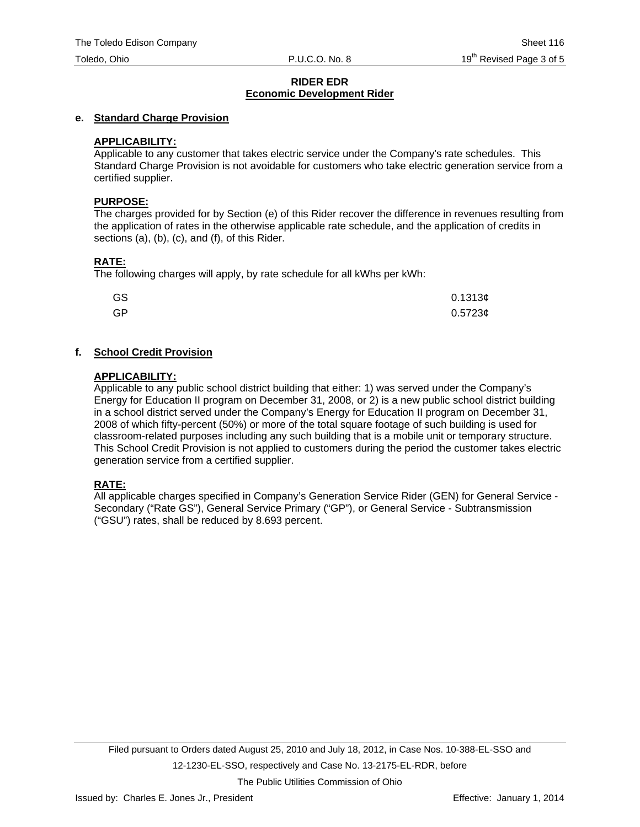## **e. Standard Charge Provision**

## **APPLICABILITY:**

Applicable to any customer that takes electric service under the Company's rate schedules. This Standard Charge Provision is not avoidable for customers who take electric generation service from a certified supplier.

#### **PURPOSE:**

The charges provided for by Section (e) of this Rider recover the difference in revenues resulting from the application of rates in the otherwise applicable rate schedule, and the application of credits in sections (a), (b), (c), and (f), of this Rider.

# **RATE:**

The following charges will apply, by rate schedule for all kWhs per kWh:

| GS | 0.1313c    |
|----|------------|
| GP | $0.5723$ ¢ |

# **f. School Credit Provision**

#### **APPLICABILITY:**

Applicable to any public school district building that either: 1) was served under the Company's Energy for Education II program on December 31, 2008, or 2) is a new public school district building in a school district served under the Company's Energy for Education II program on December 31, 2008 of which fifty-percent (50%) or more of the total square footage of such building is used for classroom-related purposes including any such building that is a mobile unit or temporary structure. This School Credit Provision is not applied to customers during the period the customer takes electric generation service from a certified supplier.

# **RATE:**

All applicable charges specified in Company's Generation Service Rider (GEN) for General Service - Secondary ("Rate GS"), General Service Primary ("GP"), or General Service - Subtransmission ("GSU") rates, shall be reduced by 8.693 percent.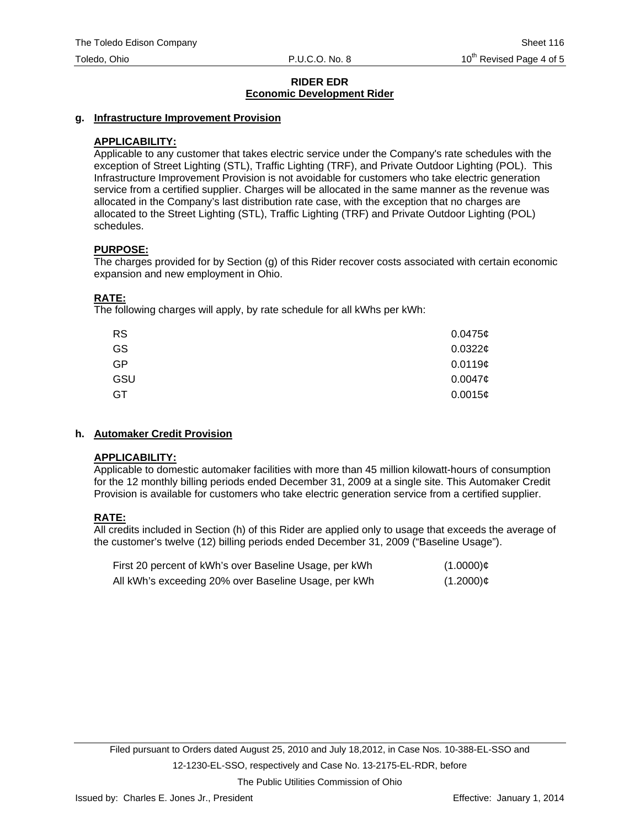## **g. Infrastructure Improvement Provision**

# **APPLICABILITY:**

Applicable to any customer that takes electric service under the Company's rate schedules with the exception of Street Lighting (STL), Traffic Lighting (TRF), and Private Outdoor Lighting (POL). This Infrastructure Improvement Provision is not avoidable for customers who take electric generation service from a certified supplier. Charges will be allocated in the same manner as the revenue was allocated in the Company's last distribution rate case, with the exception that no charges are allocated to the Street Lighting (STL), Traffic Lighting (TRF) and Private Outdoor Lighting (POL) schedules.

# **PURPOSE:**

The charges provided for by Section (g) of this Rider recover costs associated with certain economic expansion and new employment in Ohio.

# **RATE:**

The following charges will apply, by rate schedule for all kWhs per kWh:

| <b>RS</b> | 0.0475c    |
|-----------|------------|
| GS        | 0.0322c    |
| <b>GP</b> | $0.0119$ ¢ |
| GSU       | $0.0047$ ¢ |
| GT        | 0.0015¢    |

# **h. Automaker Credit Provision**

# **APPLICABILITY:**

Applicable to domestic automaker facilities with more than 45 million kilowatt-hours of consumption for the 12 monthly billing periods ended December 31, 2009 at a single site. This Automaker Credit Provision is available for customers who take electric generation service from a certified supplier.

# **RATE:**

All credits included in Section (h) of this Rider are applied only to usage that exceeds the average of the customer's twelve (12) billing periods ended December 31, 2009 ("Baseline Usage").

| First 20 percent of kWh's over Baseline Usage, per kWh | $(1.0000)$ ¢ |
|--------------------------------------------------------|--------------|
| All kWh's exceeding 20% over Baseline Usage, per kWh   | $(1.2000)$ ¢ |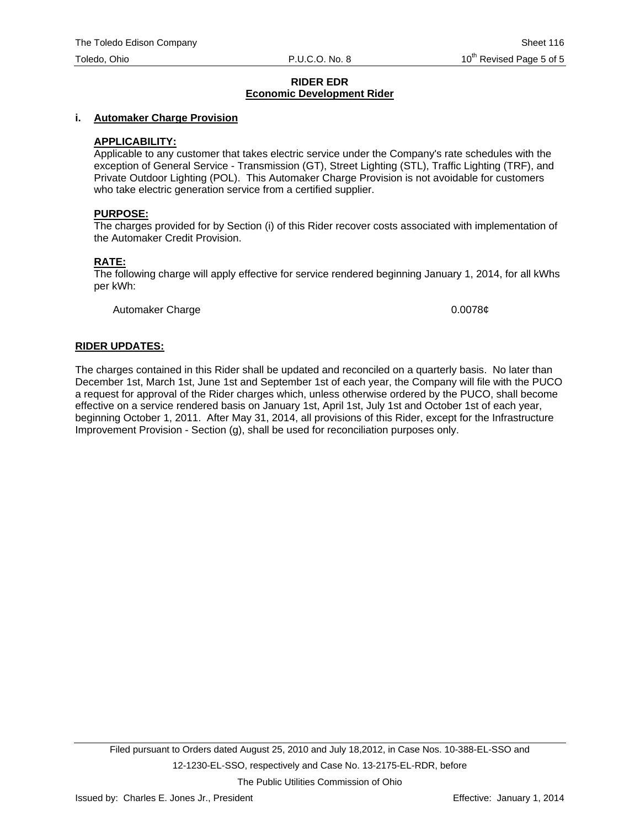#### **i. Automaker Charge Provision**

## **APPLICABILITY:**

Applicable to any customer that takes electric service under the Company's rate schedules with the exception of General Service - Transmission (GT), Street Lighting (STL), Traffic Lighting (TRF), and Private Outdoor Lighting (POL). This Automaker Charge Provision is not avoidable for customers who take electric generation service from a certified supplier.

#### **PURPOSE:**

The charges provided for by Section (i) of this Rider recover costs associated with implementation of the Automaker Credit Provision.

#### **RATE:**

The following charge will apply effective for service rendered beginning January 1, 2014, for all kWhs per kWh:

Automaker Charge 0.0078¢

#### **RIDER UPDATES:**

The charges contained in this Rider shall be updated and reconciled on a quarterly basis. No later than December 1st, March 1st, June 1st and September 1st of each year, the Company will file with the PUCO a request for approval of the Rider charges which, unless otherwise ordered by the PUCO, shall become effective on a service rendered basis on January 1st, April 1st, July 1st and October 1st of each year, beginning October 1, 2011. After May 31, 2014, all provisions of this Rider, except for the Infrastructure Improvement Provision - Section (g), shall be used for reconciliation purposes only.